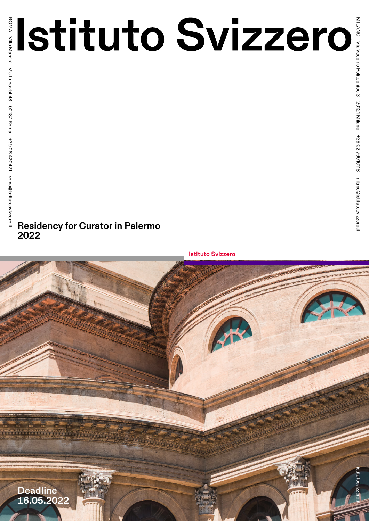# **Residency for Curator in Palermo 2022**

**Istituto Svizzero**